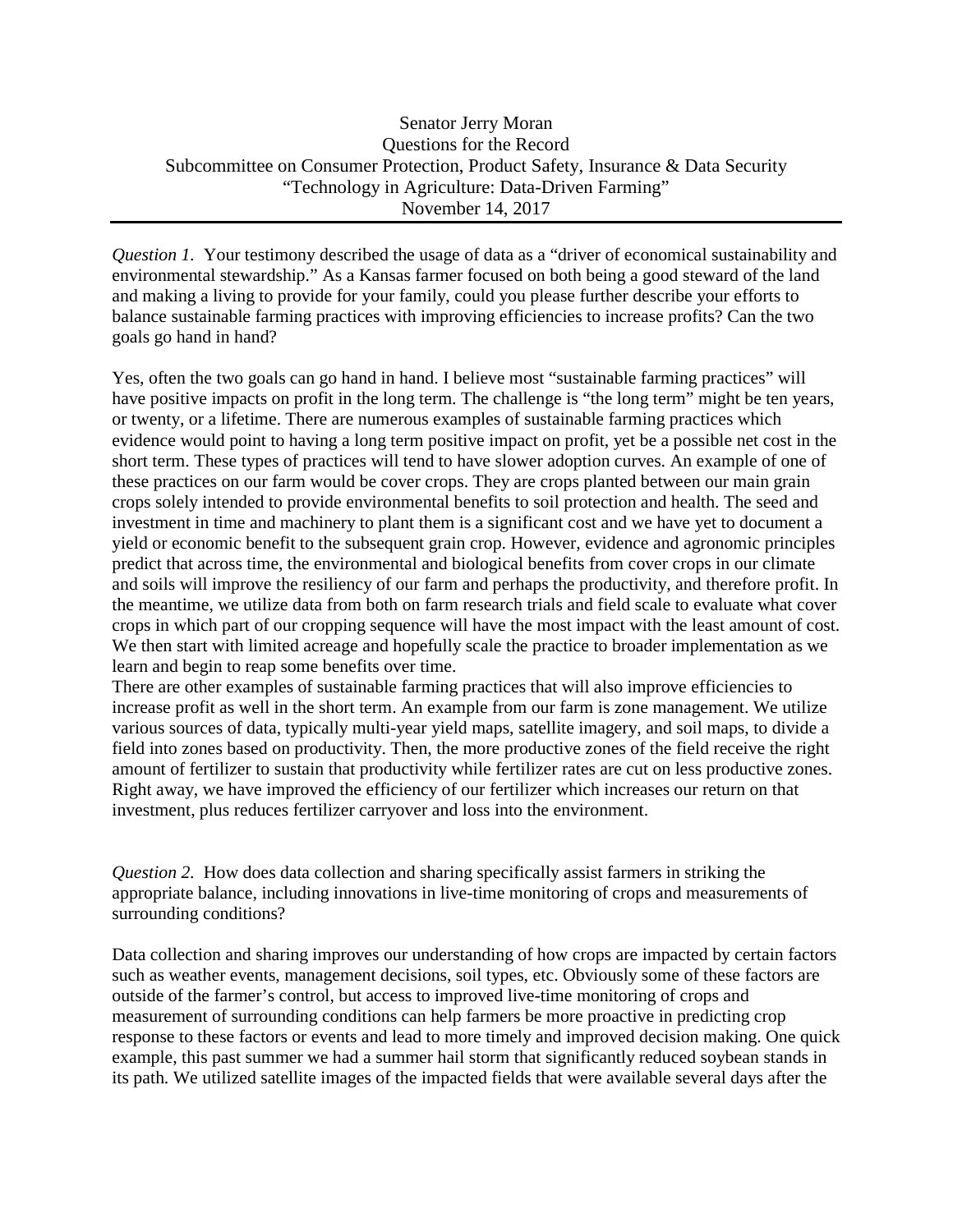## Senator Jerry Moran Questions for the Record Subcommittee on Consumer Protection, Product Safety, Insurance & Data Security "Technology in Agriculture: Data-Driven Farming" November 14, 2017

*Question 1.* Your testimony described the usage of data as a "driver of economical sustainability and environmental stewardship." As a Kansas farmer focused on both being a good steward of the land and making a living to provide for your family, could you please further describe your efforts to balance sustainable farming practices with improving efficiencies to increase profits? Can the two goals go hand in hand?

Yes, often the two goals can go hand in hand. I believe most "sustainable farming practices" will have positive impacts on profit in the long term. The challenge is "the long term" might be ten years, or twenty, or a lifetime. There are numerous examples of sustainable farming practices which evidence would point to having a long term positive impact on profit, yet be a possible net cost in the short term. These types of practices will tend to have slower adoption curves. An example of one of these practices on our farm would be cover crops. They are crops planted between our main grain crops solely intended to provide environmental benefits to soil protection and health. The seed and investment in time and machinery to plant them is a significant cost and we have yet to document a yield or economic benefit to the subsequent grain crop. However, evidence and agronomic principles predict that across time, the environmental and biological benefits from cover crops in our climate and soils will improve the resiliency of our farm and perhaps the productivity, and therefore profit. In the meantime, we utilize data from both on farm research trials and field scale to evaluate what cover crops in which part of our cropping sequence will have the most impact with the least amount of cost. We then start with limited acreage and hopefully scale the practice to broader implementation as we learn and begin to reap some benefits over time.

There are other examples of sustainable farming practices that will also improve efficiencies to increase profit as well in the short term. An example from our farm is zone management. We utilize various sources of data, typically multi-year yield maps, satellite imagery, and soil maps, to divide a field into zones based on productivity. Then, the more productive zones of the field receive the right amount of fertilizer to sustain that productivity while fertilizer rates are cut on less productive zones. Right away, we have improved the efficiency of our fertilizer which increases our return on that investment, plus reduces fertilizer carryover and loss into the environment.

*Question 2.* How does data collection and sharing specifically assist farmers in striking the appropriate balance, including innovations in live-time monitoring of crops and measurements of surrounding conditions?

Data collection and sharing improves our understanding of how crops are impacted by certain factors such as weather events, management decisions, soil types, etc. Obviously some of these factors are outside of the farmer's control, but access to improved live-time monitoring of crops and measurement of surrounding conditions can help farmers be more proactive in predicting crop response to these factors or events and lead to more timely and improved decision making. One quick example, this past summer we had a summer hail storm that significantly reduced soybean stands in its path. We utilized satellite images of the impacted fields that were available several days after the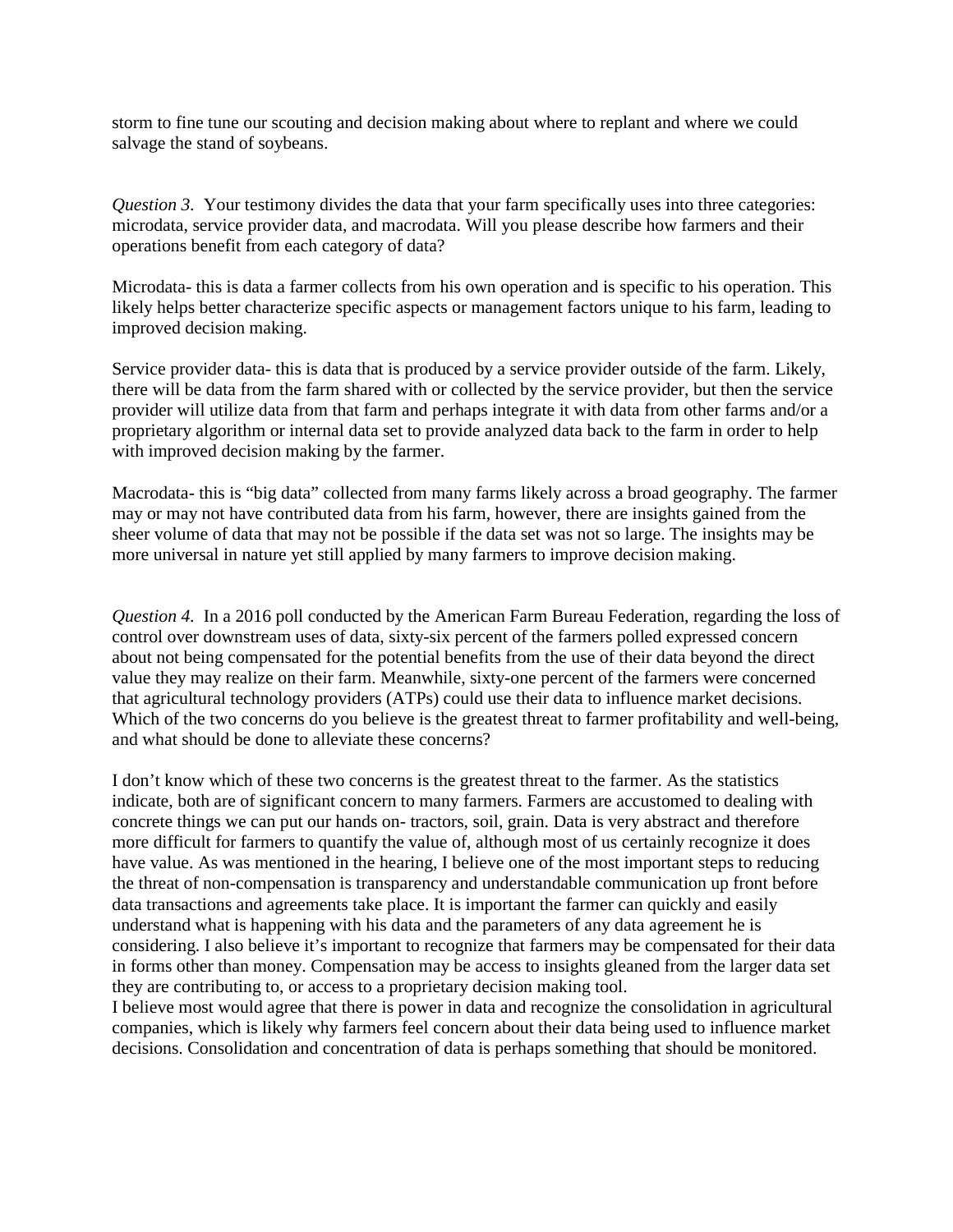storm to fine tune our scouting and decision making about where to replant and where we could salvage the stand of soybeans.

*Question 3.* Your testimony divides the data that your farm specifically uses into three categories: microdata, service provider data, and macrodata. Will you please describe how farmers and their operations benefit from each category of data?

Microdata- this is data a farmer collects from his own operation and is specific to his operation. This likely helps better characterize specific aspects or management factors unique to his farm, leading to improved decision making.

Service provider data- this is data that is produced by a service provider outside of the farm. Likely, there will be data from the farm shared with or collected by the service provider, but then the service provider will utilize data from that farm and perhaps integrate it with data from other farms and/or a proprietary algorithm or internal data set to provide analyzed data back to the farm in order to help with improved decision making by the farmer.

Macrodata- this is "big data" collected from many farms likely across a broad geography. The farmer may or may not have contributed data from his farm, however, there are insights gained from the sheer volume of data that may not be possible if the data set was not so large. The insights may be more universal in nature yet still applied by many farmers to improve decision making.

*Question 4.* In a 2016 poll conducted by the American Farm Bureau Federation, regarding the loss of control over downstream uses of data, sixty-six percent of the farmers polled expressed concern about not being compensated for the potential benefits from the use of their data beyond the direct value they may realize on their farm. Meanwhile, sixty-one percent of the farmers were concerned that agricultural technology providers (ATPs) could use their data to influence market decisions. Which of the two concerns do you believe is the greatest threat to farmer profitability and well-being, and what should be done to alleviate these concerns?

I don't know which of these two concerns is the greatest threat to the farmer. As the statistics indicate, both are of significant concern to many farmers. Farmers are accustomed to dealing with concrete things we can put our hands on- tractors, soil, grain. Data is very abstract and therefore more difficult for farmers to quantify the value of, although most of us certainly recognize it does have value. As was mentioned in the hearing, I believe one of the most important steps to reducing the threat of non-compensation is transparency and understandable communication up front before data transactions and agreements take place. It is important the farmer can quickly and easily understand what is happening with his data and the parameters of any data agreement he is considering. I also believe it's important to recognize that farmers may be compensated for their data in forms other than money. Compensation may be access to insights gleaned from the larger data set they are contributing to, or access to a proprietary decision making tool.

I believe most would agree that there is power in data and recognize the consolidation in agricultural companies, which is likely why farmers feel concern about their data being used to influence market decisions. Consolidation and concentration of data is perhaps something that should be monitored.